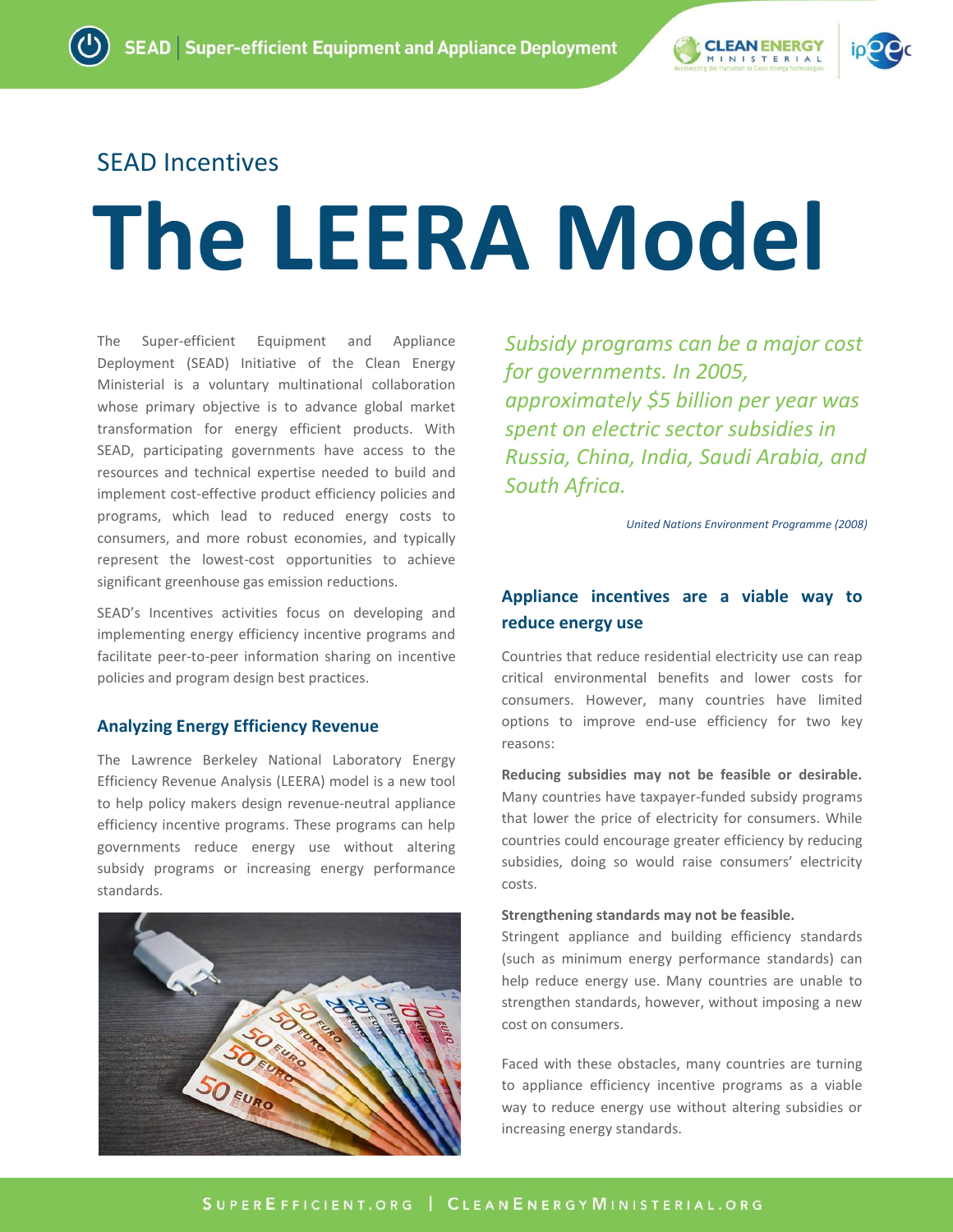

# SEAD Incentives

# **The LEERA Model**

The Super-efficient Equipment and Appliance Deployment (SEAD) Initiative of the Clean Energy Ministerial is a voluntary multinational collaboration whose primary objective is to advance global market transformation for energy efficient products. With SEAD, participating governments have access to the resources and technical expertise needed to build and implement cost-effective product efficiency policies and programs, which lead to reduced energy costs to consumers, and more robust economies, and typically represent the lowest-cost opportunities to achieve significant greenhouse gas emission reductions.

SEAD's Incentives activities focus on developing and implementing energy efficiency incentive programs and facilitate peer-to-peer information sharing on incentive policies and program design best practices.

## **Analyzing Energy Efficiency Revenue**

The Lawrence Berkeley National Laboratory Energy Efficiency Revenue Analysis (LEERA) model is a new tool to help policy makers design revenue-neutral appliance efficiency incentive programs. These programs can help governments reduce energy use without altering subsidy programs or increasing energy performance standards.



*Subsidy programs can be a major cost for governments. In 2005, approximately \$5 billion per year was spent on electric sector subsidies in Russia, China, India, Saudi Arabia, and South Africa.*

*United Nations Environment Programme (2008)*

# **Appliance incentives are a viable way to reduce energy use**

Countries that reduce residential electricity use can reap critical environmental benefits and lower costs for consumers. However, many countries have limited options to improve end-use efficiency for two key reasons:

**Reducing subsidies may not be feasible or desirable.** Many countries have taxpayer-funded subsidy programs that lower the price of electricity for consumers. While countries could encourage greater efficiency by reducing subsidies, doing so would raise consumers' electricity costs.

#### **Strengthening standards may not be feasible.**

Stringent appliance and building efficiency standards (such as minimum energy performance standards) can help reduce energy use. Many countries are unable to strengthen standards, however, without imposing a new cost on consumers.

Faced with these obstacles, many countries are turning to appliance efficiency incentive programs as a viable way to reduce energy use without altering subsidies or increasing energy standards.